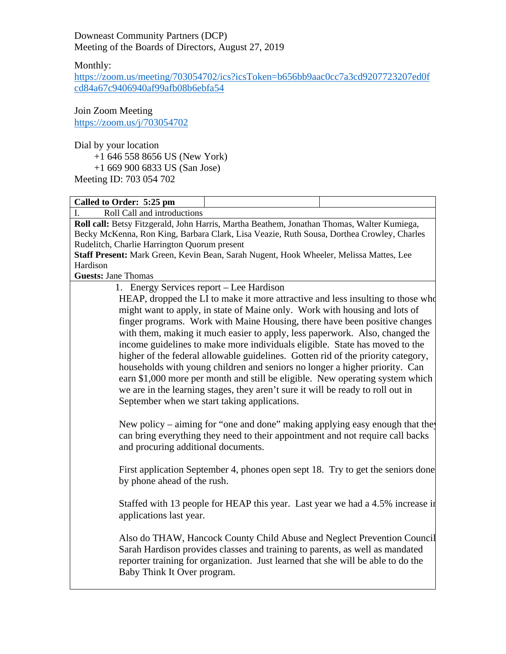Downeast Community Partners (DCP) Meeting of the Boards of Directors, August 27, 2019

Monthly:

[https://zoom.us/meeting/703054702/ics?icsToken=b656bb9aac0cc7a3cd9207723207ed0f](https://zoom.us/meeting/703054702/ics?icsToken=b656bb9aac0cc7a3cd9207723207ed0fcd84a67c9406940af99afb08b6ebfa54) [cd84a67c9406940af99afb08b6ebfa54](https://zoom.us/meeting/703054702/ics?icsToken=b656bb9aac0cc7a3cd9207723207ed0fcd84a67c9406940af99afb08b6ebfa54)

Join Zoom Meeting <https://zoom.us/j/703054702>

Dial by your location

+1 646 558 8656 US (New York)

+1 669 900 6833 US (San Jose)

Meeting ID: 703 054 702

**Called to Order: 5:25 pm**

I. Roll Call and introductions

**Roll call:** Betsy Fitzgerald, John Harris, Martha Beathem, Jonathan Thomas, Walter Kumiega, Becky McKenna, Ron King, Barbara Clark, Lisa Veazie, Ruth Sousa, Dorthea Crowley, Charles Rudelitch, Charlie Harrington Quorum present

**Staff Present:** Mark Green, Kevin Bean, Sarah Nugent, Hook Wheeler, Melissa Mattes, Lee Hardison

**Guests:** Jane Thomas

1. Energy Services report – Lee Hardison

HEAP, dropped the LI to make it more attractive and less insulting to those who might want to apply, in state of Maine only. Work with housing and lots of finger programs. Work with Maine Housing, there have been positive changes with them, making it much easier to apply, less paperwork. Also, changed the income guidelines to make more individuals eligible. State has moved to the higher of the federal allowable guidelines. Gotten rid of the priority category, households with young children and seniors no longer a higher priority. Can earn \$1,000 more per month and still be eligible. New operating system which we are in the learning stages, they aren't sure it will be ready to roll out in September when we start taking applications.

New policy – aiming for "one and done" making applying easy enough that they can bring everything they need to their appointment and not require call backs and procuring additional documents.

First application September 4, phones open sept 18. Try to get the seniors done by phone ahead of the rush.

Staffed with 13 people for HEAP this year. Last year we had a 4.5% increase in applications last year.

Also do THAW, Hancock County Child Abuse and Neglect Prevention Council Sarah Hardison provides classes and training to parents, as well as mandated reporter training for organization. Just learned that she will be able to do the Baby Think It Over program.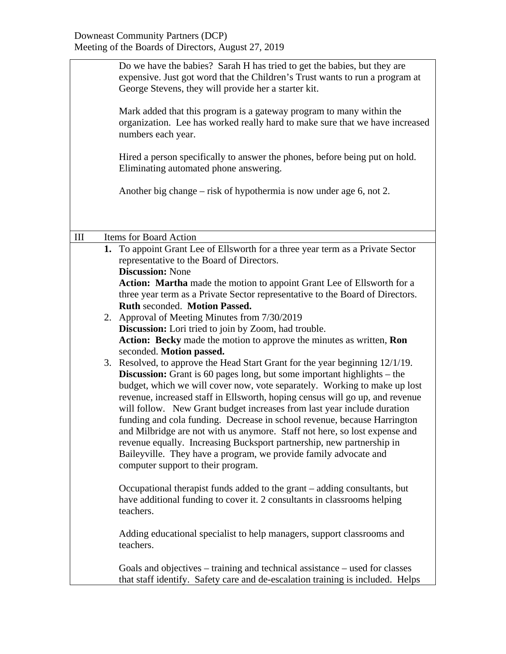|     | Do we have the babies? Sarah H has tried to get the babies, but they are<br>expensive. Just got word that the Children's Trust wants to run a program at<br>George Stevens, they will provide her a starter kit.                                                                                                                                                                                                                                                                                                                                                                                                                                                                                                                                    |  |  |
|-----|-----------------------------------------------------------------------------------------------------------------------------------------------------------------------------------------------------------------------------------------------------------------------------------------------------------------------------------------------------------------------------------------------------------------------------------------------------------------------------------------------------------------------------------------------------------------------------------------------------------------------------------------------------------------------------------------------------------------------------------------------------|--|--|
|     | Mark added that this program is a gateway program to many within the<br>organization. Lee has worked really hard to make sure that we have increased<br>numbers each year.                                                                                                                                                                                                                                                                                                                                                                                                                                                                                                                                                                          |  |  |
|     | Hired a person specifically to answer the phones, before being put on hold.<br>Eliminating automated phone answering.                                                                                                                                                                                                                                                                                                                                                                                                                                                                                                                                                                                                                               |  |  |
|     | Another big change – risk of hypothermia is now under age 6, not 2.                                                                                                                                                                                                                                                                                                                                                                                                                                                                                                                                                                                                                                                                                 |  |  |
|     |                                                                                                                                                                                                                                                                                                                                                                                                                                                                                                                                                                                                                                                                                                                                                     |  |  |
| III | Items for Board Action                                                                                                                                                                                                                                                                                                                                                                                                                                                                                                                                                                                                                                                                                                                              |  |  |
|     | 1. To appoint Grant Lee of Ellsworth for a three year term as a Private Sector<br>representative to the Board of Directors.<br><b>Discussion: None</b>                                                                                                                                                                                                                                                                                                                                                                                                                                                                                                                                                                                              |  |  |
|     | Action: Martha made the motion to appoint Grant Lee of Ellsworth for a<br>three year term as a Private Sector representative to the Board of Directors.<br>Ruth seconded. Motion Passed.                                                                                                                                                                                                                                                                                                                                                                                                                                                                                                                                                            |  |  |
|     | 2. Approval of Meeting Minutes from 7/30/2019<br><b>Discussion:</b> Lori tried to join by Zoom, had trouble.<br>Action: Becky made the motion to approve the minutes as written, Ron<br>seconded. Motion passed.                                                                                                                                                                                                                                                                                                                                                                                                                                                                                                                                    |  |  |
|     | 3. Resolved, to approve the Head Start Grant for the year beginning 12/1/19.<br><b>Discussion:</b> Grant is 60 pages long, but some important highlights – the<br>budget, which we will cover now, vote separately. Working to make up lost<br>revenue, increased staff in Ellsworth, hoping census will go up, and revenue<br>will follow. New Grant budget increases from last year include duration<br>funding and cola funding. Decrease in school revenue, because Harrington<br>and Milbridge are not with us anymore. Staff not here, so lost expense and<br>revenue equally. Increasing Bucksport partnership, new partnership in<br>Baileyville. They have a program, we provide family advocate and<br>computer support to their program. |  |  |
|     | Occupational therapist funds added to the grant – adding consultants, but<br>have additional funding to cover it. 2 consultants in classrooms helping<br>teachers.                                                                                                                                                                                                                                                                                                                                                                                                                                                                                                                                                                                  |  |  |
|     | Adding educational specialist to help managers, support classrooms and<br>teachers.                                                                                                                                                                                                                                                                                                                                                                                                                                                                                                                                                                                                                                                                 |  |  |
|     | Goals and objectives – training and technical assistance – used for classes<br>that staff identify. Safety care and de-escalation training is included. Helps                                                                                                                                                                                                                                                                                                                                                                                                                                                                                                                                                                                       |  |  |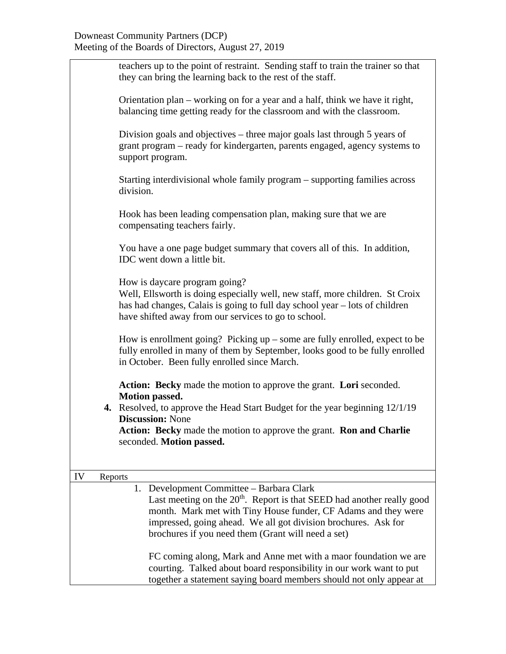|               | teachers up to the point of restraint. Sending staff to train the trainer so that<br>they can bring the learning back to the rest of the staff.                                                                                                      |
|---------------|------------------------------------------------------------------------------------------------------------------------------------------------------------------------------------------------------------------------------------------------------|
|               | Orientation plan – working on for a year and a half, think we have it right,<br>balancing time getting ready for the classroom and with the classroom.                                                                                               |
|               | Division goals and objectives – three major goals last through 5 years of<br>grant program – ready for kindergarten, parents engaged, agency systems to<br>support program.                                                                          |
|               | Starting interdivisional whole family program – supporting families across<br>division.                                                                                                                                                              |
|               | Hook has been leading compensation plan, making sure that we are<br>compensating teachers fairly.                                                                                                                                                    |
|               | You have a one page budget summary that covers all of this. In addition,<br>IDC went down a little bit.                                                                                                                                              |
|               | How is daycare program going?<br>Well, Ellsworth is doing especially well, new staff, more children. St Croix<br>has had changes, Calais is going to full day school year – lots of children<br>have shifted away from our services to go to school. |
|               | How is enrollment going? Picking $up$ – some are fully enrolled, expect to be<br>fully enrolled in many of them by September, looks good to be fully enrolled<br>in October. Been fully enrolled since March.                                        |
|               | Action: Becky made the motion to approve the grant. Lori seconded.<br><b>Motion passed.</b>                                                                                                                                                          |
|               | <b>4.</b> Resolved, to approve the Head Start Budget for the year beginning 12/1/19<br><b>Discussion: None</b>                                                                                                                                       |
|               | Action: Becky made the motion to approve the grant. Ron and Charlie<br>seconded. Motion passed.                                                                                                                                                      |
| IV<br>Reports |                                                                                                                                                                                                                                                      |
|               | Development Committee – Barbara Clark<br>1.                                                                                                                                                                                                          |
|               | Last meeting on the $20th$ . Report is that SEED had another really good                                                                                                                                                                             |
|               | month. Mark met with Tiny House funder, CF Adams and they were                                                                                                                                                                                       |
|               | impressed, going ahead. We all got division brochures. Ask for                                                                                                                                                                                       |
|               | brochures if you need them (Grant will need a set)                                                                                                                                                                                                   |
|               | FC coming along, Mark and Anne met with a maor foundation we are                                                                                                                                                                                     |
|               | courting. Talked about board responsibility in our work want to put                                                                                                                                                                                  |
|               | together a statement saying board members should not only appear at                                                                                                                                                                                  |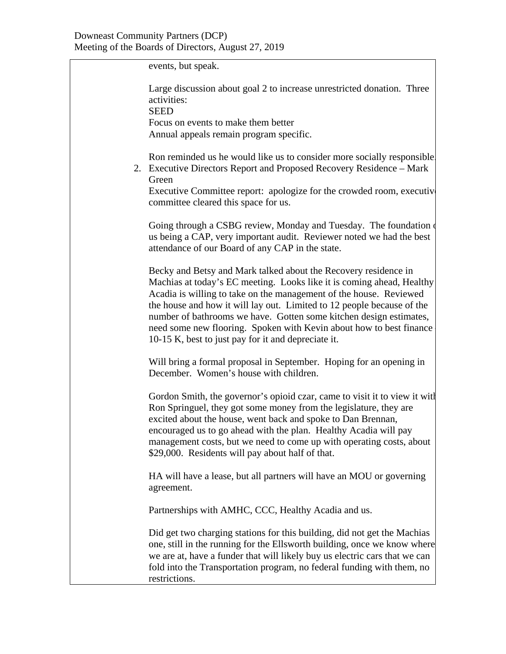events, but speak.

Large discussion about goal 2 to increase unrestricted donation. Three activities:

**SEED** 

Focus on events to make them better Annual appeals remain program specific.

Ron reminded us he would like us to consider more socially responsible.

2. Executive Directors Report and Proposed Recovery Residence – Mark Green

Executive Committee report: apologize for the crowded room, executive committee cleared this space for us.

Going through a CSBG review, Monday and Tuesday. The foundation of us being a CAP, very important audit. Reviewer noted we had the best attendance of our Board of any CAP in the state.

Becky and Betsy and Mark talked about the Recovery residence in Machias at today's EC meeting. Looks like it is coming ahead, Healthy Acadia is willing to take on the management of the house. Reviewed the house and how it will lay out. Limited to 12 people because of the number of bathrooms we have. Gotten some kitchen design estimates, need some new flooring. Spoken with Kevin about how to best finance – 10-15 K, best to just pay for it and depreciate it.

Will bring a formal proposal in September. Hoping for an opening in December. Women's house with children.

Gordon Smith, the governor's opioid czar, came to visit it to view it with Ron Springuel, they got some money from the legislature, they are excited about the house, went back and spoke to Dan Brennan, encouraged us to go ahead with the plan. Healthy Acadia will pay management costs, but we need to come up with operating costs, about \$29,000. Residents will pay about half of that.

HA will have a lease, but all partners will have an MOU or governing agreement.

Partnerships with AMHC, CCC, Healthy Acadia and us.

Did get two charging stations for this building, did not get the Machias one, still in the running for the Ellsworth building, once we know where we are at, have a funder that will likely buy us electric cars that we can fold into the Transportation program, no federal funding with them, no restrictions.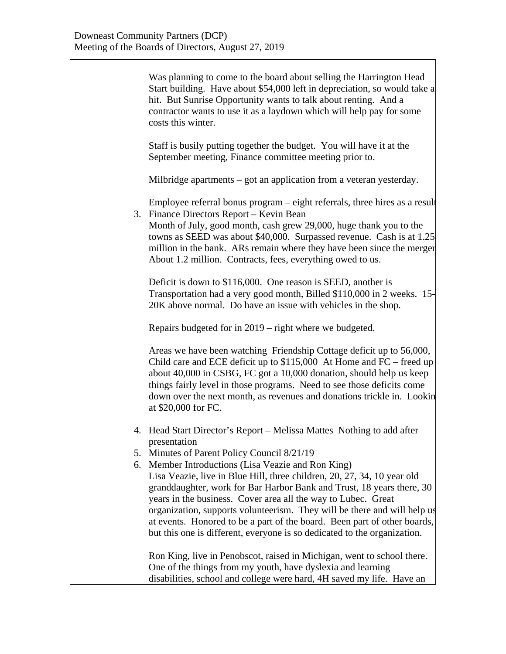Was planning to come to the board about selling the Harrington Head Start building. Have about \$54,000 left in depreciation, so would take a hit. But Sunrise Opportunity wants to talk about renting. And a contractor wants to use it as a laydown which will help pay for some costs this winter.

Staff is busily putting together the budget. You will have it at the September meeting, Finance committee meeting prior to.

Milbridge apartments – got an application from a veteran yesterday.

Employee referral bonus program – eight referrals, three hires as a result 3. Finance Directors Report – Kevin Bean

Month of July, good month, cash grew 29,000, huge thank you to the towns as SEED was about \$40,000. Surpassed revenue. Cash is at 1.25 million in the bank. ARs remain where they have been since the merger About 1.2 million. Contracts, fees, everything owed to us.

Deficit is down to \$116,000. One reason is SEED, another is Transportation had a very good month, Billed \$110,000 in 2 weeks. 15- 20K above normal. Do have an issue with vehicles in the shop.

Repairs budgeted for in 2019 – right where we budgeted.

Areas we have been watching Friendship Cottage deficit up to 56,000, Child care and ECE deficit up to \$115,000 At Home and FC – freed up about 40,000 in CSBG, FC got a 10,000 donation, should help us keep things fairly level in those programs. Need to see those deficits come down over the next month, as revenues and donations trickle in. Lookin at \$20,000 for FC.

- 4. Head Start Director's Report Melissa Mattes Nothing to add after presentation
- 5. Minutes of Parent Policy Council 8/21/19
- 6. Member Introductions (Lisa Veazie and Ron King) Lisa Veazie, live in Blue Hill, three children, 20, 27, 34, 10 year old granddaughter, work for Bar Harbor Bank and Trust, 18 years there, 30 years in the business. Cover area all the way to Lubec. Great organization, supports volunteerism. They will be there and will help us at events. Honored to be a part of the board. Been part of other boards, but this one is different, everyone is so dedicated to the organization.

Ron King, live in Penobscot, raised in Michigan, went to school there. One of the things from my youth, have dyslexia and learning disabilities, school and college were hard, 4H saved my life. Have an